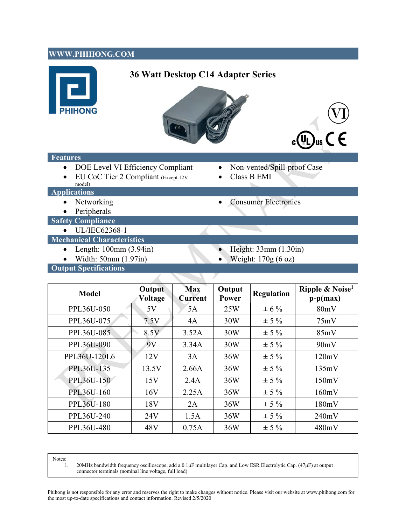## **WWW.PHIHONG.COM**

# **36 Watt Desktop C14 Adapter Series**







#### **Features**

- DOE Level VI Efficiency Compliant Non-vented/Spill-proof Case
- EU CoC Tier 2 Compliant (Except 12V model)

◢

- 
- Class B EMI

- **Applications** 
	- Networking <br>• Consumer Electronics
	- Peripherals
- **Safety Compliance** 
	- UL/IEC62368-1

### **Mechanical Characteristics**

- Length: 100mm (3.94in) Height: 33mm (1.30in)
- Width:  $50 \text{mm} (1.97 \text{in})$  Weight:  $170 \text{g} (6 \text{ oz})$
- 
- 

**Output Specifications** 

| <b>Model</b>      | Output<br>Voltage | <b>Max</b><br><b>Current</b> | Output<br>Power | <b>Regulation</b> | Ripple & Noise <sup>1</sup><br>$p-p(max)$ |
|-------------------|-------------------|------------------------------|-----------------|-------------------|-------------------------------------------|
| PPL36U-050        | 5V                | 5A                           | 25W             | $\pm 6 \%$        | 80mV                                      |
| PPL36U-075        | 7.5V              | 4A                           | 30W             | $\pm$ 5 %         | 75mV                                      |
| PPL36U-085        | 8.5V              | 3.52A                        | 30W             | $\pm$ 5 %         | 85mV                                      |
| PPL36U-090        | 9V                | 3.34A                        | 30W             | $\pm$ 5 %         | 90mV                                      |
| PPL36U-120L6      | 12V               | 3A                           | 36W             | $\pm$ 5 %         | 120mV                                     |
| PPL36U-135        | 13.5V             | 2.66A                        | 36W             | $\pm$ 5 %         | 135mV                                     |
| PPL36U-150        | 15V               | 2.4A                         | 36W             | $\pm$ 5 %         | 150mV                                     |
| <b>PPL36U-160</b> | 16V               | 2.25A                        | 36W             | $\pm$ 5 %         | 160mV                                     |
| PPL36U-180        | 18V               | 2A                           | 36W             | $\pm$ 5 %         | 180mV                                     |
| PPL36U-240        | 24V               | 1.5A                         | 36W             | $\pm$ 5 %         | 240mV                                     |
| PPL36U-480        | 48V               | 0.75A                        | 36W             | $\pm$ 5 %         | 480mV                                     |

Notes:

1. 20MHz bandwidth frequency oscilloscope, add a 0.1μF multilayer Cap. and Low ESR Electrolytic Cap. (47μF) at output connector terminals (nominal line voltage, full load)

Phihong is not responsible for any error and reserves the right to make changes without notice. Please visit our website at www.phihong.com for the most up-to-date specifications and contact information. Revised 2/5/2020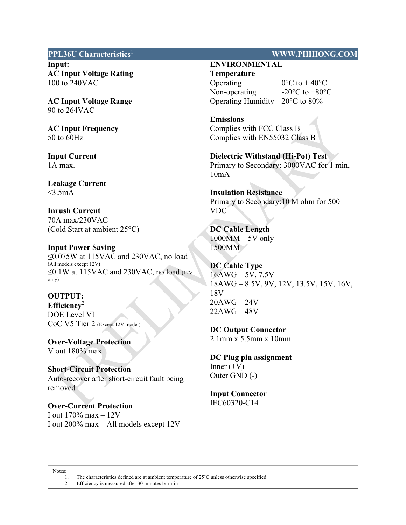**Input: AC Input Voltage Rating**  100 to 240VAC

**AC Input Voltage Range**  90 to 264VAC

**AC Input Frequency**  50 to 60Hz

**Input Current**  1A max.

**Leakage Current**   $<$ 3.5mA

**Inrush Current**  70A max/230VAC (Cold Start at ambient 25°C)

**Input Power Saving**  ≤0.075W at 115VAC and 230VAC, no load (All models except 12V)  $\leq$ 0.1W at 115VAC and 230VAC, no load (12V only)

## **OUTPUT: Efficiency**<sup>2</sup> DOE Level VI

**Over-Voltage Protection**  V out 180% max

CoC V5 Tier 2 (Except 12V model)

**Short-Circuit Protection**  Auto-recover after short-circuit fault being removed

**Over-Current Protection**  I out  $170\%$  max  $-12V$ I out 200% max – All models except 12V

#### **PPL36U Characteristics**<sup>1</sup>**WWW.PHIHONG.COM**

## **ENVIRONMENTAL**

**Temperature**  Operating  $0^{\circ}C$  to  $+40^{\circ}C$ Non-operating  $-20\degree C$  to  $+80\degree C$ Operating Humidity 20°C to 80%

**Emissions**  Complies with FCC Class B Complies with EN55032 Class B

**Dielectric Withstand (Hi-Pot) Test**  Primary to Secondary: 3000VAC for 1 min, 10mA

**Insulation Resistance**  Primary to Secondary:10 M ohm for 500 VDC

**DC Cable Length**   $1000MM - 5V$  only 1500MM

**DC Cable Type**   $16AWG - 5V$ , 7.5V 18AWG – 8.5V, 9V, 12V, 13.5V, 15V, 16V, 18V 20AWG – 24V 22AWG – 48V

**DC Output Connector**  2.1mm x 5.5mm x 10mm

**DC Plug pin assignment** Inner  $(+V)$ Outer GND (-)

#### **Input Connector**  IEC60320-C14

Notes:

 $\overline{\phantom{a}}$ 

1. The characteristics defined are at ambient temperature of 25˚C unless otherwise specified 2. Efficiency is measured after 30 minutes burn-in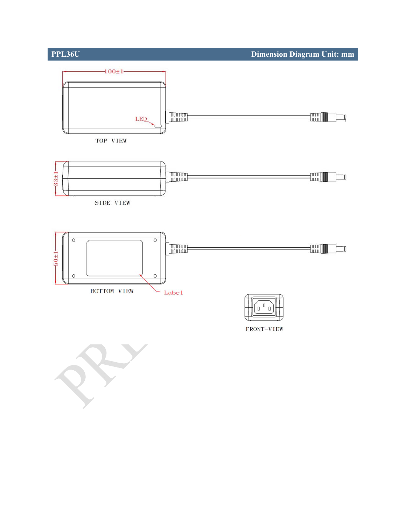

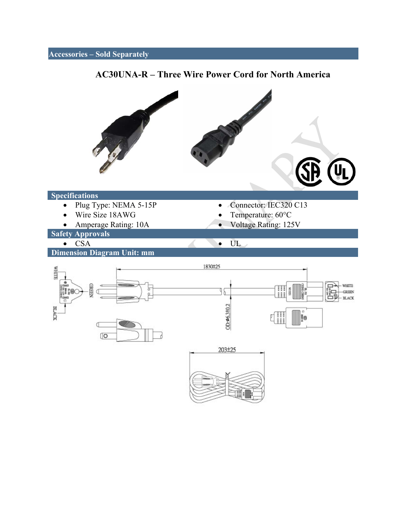# **Accessories – Sold Separately AC30UNA-R – Three Wire Power Cord for North America**  U **Specifications**  Plug Type: NEMA 5-15P Connector: IEC320 C13 Wire Size 18AWG Temperature: 60°C • Amperage Rating: 10A Voltage Rating: 125V **Safety Approvals**  • CSA • UL **Dimension Diagram Unit: mm**  1830±25 **SLIHAN** ۰ **GREEN** WHITE œ Ξ **FIRE** 36 **GREEN** Œ ö **BLACK**  $OD:46.3<sub>0.2</sub>$ **BLACK** ļ. C  $\sqrt{2}$ 203±25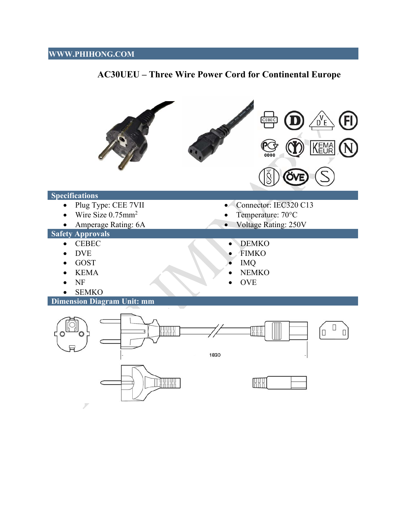# **WWW.PHIHONG.COM**

# **AC30UEU – Three Wire Power Cord for Continental Europe**

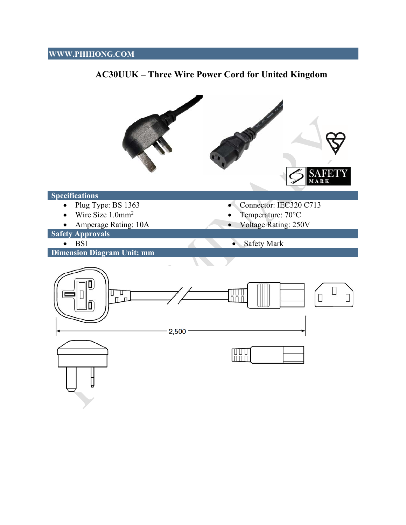# **WWW.PHIHONG.COM**



# **AC30UUK – Three Wire Power Cord for United Kingdom**